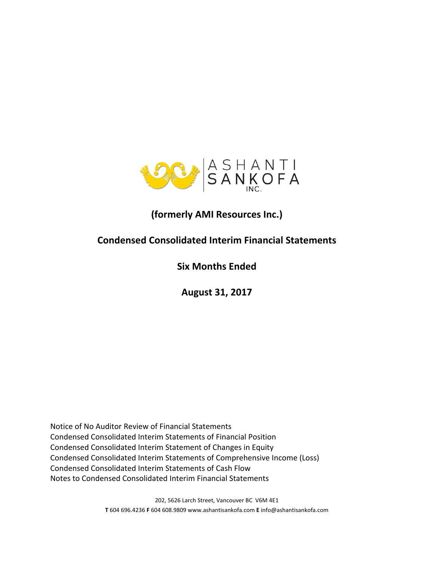

# **(formerly AMI Resources Inc.)**

# **Condensed Consolidated Interim Financial Statements**

**Six Months Ended**

**August 31, 2017**

Notice of No Auditor Review of Financial Statements Condensed Consolidated Interim Statements of Financial Position Condensed Consolidated Interim Statement of Changes in Equity Condensed Consolidated Interim Statements of Comprehensive Income (Loss) Condensed Consolidated Interim Statements of Cash Flow Notes to Condensed Consolidated Interim Financial Statements

> 202, 5626 Larch Street, Vancouver BC V6M 4E1 **T** 604 696.4236 **F** 604 608.9809 www.ashantisankofa.com **E** info@ashantisankofa.com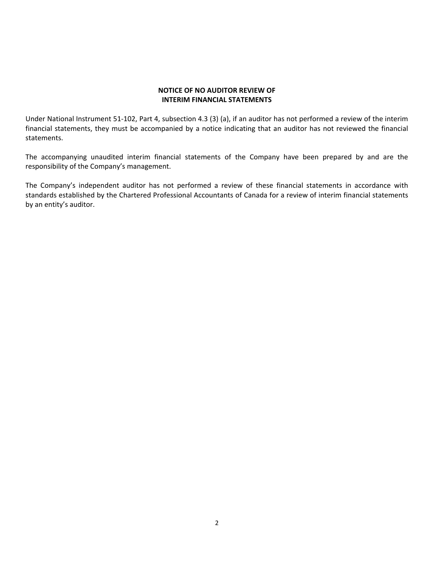### **NOTICE OF NO AUDITOR REVIEW OF INTERIM FINANCIAL STATEMENTS**

Under National Instrument 51‐102, Part 4, subsection 4.3 (3) (a), if an auditor has not performed a review of the interim financial statements, they must be accompanied by a notice indicating that an auditor has not reviewed the financial statements.

The accompanying unaudited interim financial statements of the Company have been prepared by and are the responsibility of the Company's management.

The Company's independent auditor has not performed a review of these financial statements in accordance with standards established by the Chartered Professional Accountants of Canada for a review of interim financial statements by an entity's auditor.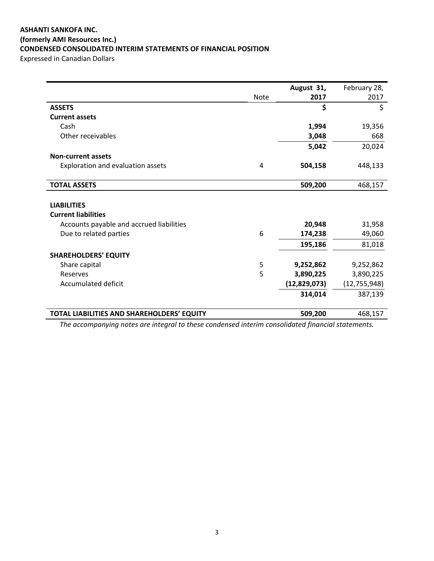### **ASHANTI SANKOFA INC. (formerly AMI Resources Inc.) CONDENSED CONSOLIDATED INTERIM STATEMENTS OF FINANCIAL POSITION** Expressed in Canadian Dollars

|                                            |             | August 31,   | February 28,   |
|--------------------------------------------|-------------|--------------|----------------|
|                                            | <b>Note</b> | 2017         | 2017           |
| <b>ASSETS</b>                              |             | \$           | \$             |
| <b>Current assets</b>                      |             |              |                |
| Cash                                       |             | 1,994        | 19,356         |
| Other receivables                          |             | 3,048        | 668            |
|                                            |             | 5,042        | 20,024         |
| <b>Non-current assets</b>                  |             |              |                |
| Exploration and evaluation assets          | 4           | 504,158      | 448,133        |
|                                            |             |              |                |
| <b>TOTAL ASSETS</b>                        |             | 509,200      | 468,157        |
|                                            |             |              |                |
| <b>LIABILITIES</b>                         |             |              |                |
| <b>Current liabilities</b>                 |             |              |                |
| Accounts payable and accrued liabilities   |             | 20,948       | 31,958         |
| Due to related parties                     | 6           | 174,238      | 49,060         |
|                                            |             | 195,186      | 81,018         |
| <b>SHAREHOLDERS' EQUITY</b>                |             |              |                |
| Share capital                              | 5           | 9,252,862    | 9,252,862      |
| Reserves                                   | 5           | 3,890,225    | 3,890,225      |
| <b>Accumulated deficit</b>                 |             | (12,829,073) | (12, 755, 948) |
|                                            |             | 314,014      | 387,139        |
|                                            |             |              |                |
| TOTAL LIABILITIES AND SHAREHOLDERS' EQUITY |             | 509,200      | 468,157        |

*The accompanying notes are integral to these condensed interim consolidated financial statements.*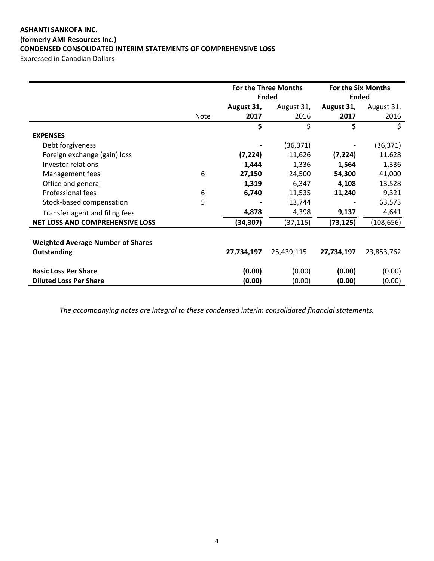# **ASHANTI SANKOFA INC. (formerly AMI Resources Inc.) CONDENSED CONSOLIDATED INTERIM STATEMENTS OF COMPREHENSIVE LOSS**

Expressed in Canadian Dollars

|                                          |             | <b>For the Three Months</b> |            | <b>For the Six Months</b> |            |
|------------------------------------------|-------------|-----------------------------|------------|---------------------------|------------|
|                                          |             | <b>Ended</b>                |            | <b>Ended</b>              |            |
|                                          |             | August 31,                  | August 31, | August 31,                | August 31, |
|                                          | <b>Note</b> | 2017                        | 2016       | 2017                      | 2016       |
|                                          |             | \$                          | \$         | \$                        | \$         |
| <b>EXPENSES</b>                          |             |                             |            |                           |            |
| Debt forgiveness                         |             |                             | (36, 371)  |                           | (36, 371)  |
| Foreign exchange (gain) loss             |             | (7, 224)                    | 11,626     | (7, 224)                  | 11,628     |
| Investor relations                       |             | 1,444                       | 1,336      | 1,564                     | 1,336      |
| Management fees                          | 6           | 27,150                      | 24,500     | 54,300                    | 41,000     |
| Office and general                       |             | 1,319                       | 6,347      | 4,108                     | 13,528     |
| Professional fees                        | 6           | 6,740                       | 11,535     | 11,240                    | 9,321      |
| Stock-based compensation                 | 5           |                             | 13,744     |                           | 63,573     |
| Transfer agent and filing fees           |             | 4,878                       | 4,398      | 9,137                     | 4,641      |
| <b>NET LOSS AND COMPREHENSIVE LOSS</b>   |             | (34, 307)                   | (37, 115)  | (73, 125)                 | (108, 656) |
|                                          |             |                             |            |                           |            |
| <b>Weighted Average Number of Shares</b> |             |                             |            |                           |            |
| <b>Outstanding</b>                       |             | 27,734,197                  | 25,439,115 | 27,734,197                | 23,853,762 |
| <b>Basic Loss Per Share</b>              |             | (0.00)                      | (0.00)     | (0.00)                    | (0.00)     |
| <b>Diluted Loss Per Share</b>            |             | (0.00)                      | (0.00)     | (0.00)                    | (0.00)     |

*The accompanying notes are integral to these condensed interim consolidated financial statements.*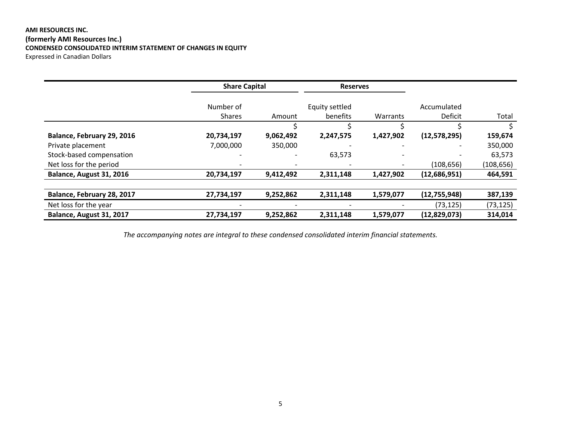### **AMI RESOURCES INC. (formerly AMI Resources Inc.) CONDENSED CONSOLIDATED INTERIM STATEMENT OF CHANGES IN EQUITY** Expressed in Canadian Dollars

|                            | <b>Share Capital</b> |                          | <b>Reserves</b> |           |                |            |
|----------------------------|----------------------|--------------------------|-----------------|-----------|----------------|------------|
|                            | Number of            |                          | Equity settled  |           | Accumulated    |            |
|                            | <b>Shares</b>        | Amount                   | benefits        | Warrants  | Deficit        | Total      |
|                            |                      |                          |                 |           |                |            |
| Balance, February 29, 2016 | 20,734,197           | 9,062,492                | 2,247,575       | 1,427,902 | (12, 578, 295) | 159,674    |
| Private placement          | 7,000,000            | 350,000                  |                 |           |                | 350,000    |
| Stock-based compensation   |                      | $\overline{\phantom{a}}$ | 63,573          |           |                | 63,573     |
| Net loss for the period    |                      |                          |                 |           | (108, 656)     | (108, 656) |
| Balance, August 31, 2016   | 20,734,197           | 9,412,492                | 2,311,148       | 1,427,902 | (12,686,951)   | 464,591    |
|                            |                      |                          |                 |           |                |            |
| Balance, February 28, 2017 | 27,734,197           | 9,252,862                | 2,311,148       | 1,579,077 | (12, 755, 948) | 387,139    |
| Net loss for the year      |                      |                          |                 |           | (73, 125)      | (73, 125)  |
| Balance, August 31, 2017   | 27,734,197           | 9,252,862                | 2,311,148       | 1,579,077 | (12,829,073)   | 314,014    |

*The accompanying notes are integral to these condensed consolidated interim financial statements.*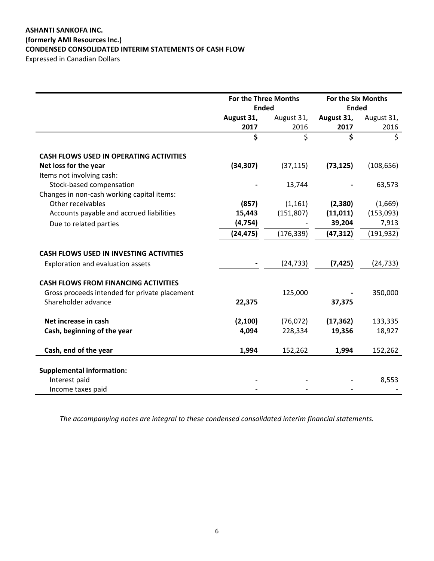### **ASHANTI SANKOFA INC. (formerly AMI Resources Inc.) CONDENSED CONSOLIDATED INTERIM STATEMENTS OF CASH FLOW** Expressed in Canadian Dollars

|                                                | For the Three Months |            | <b>For the Six Months</b> |            |
|------------------------------------------------|----------------------|------------|---------------------------|------------|
|                                                | <b>Ended</b>         |            | <b>Ended</b>              |            |
|                                                | August 31,           | August 31, | August 31,                | August 31, |
|                                                | 2017                 | 2016       | 2017                      | 2016       |
|                                                | \$                   | \$         | \$                        | \$         |
| <b>CASH FLOWS USED IN OPERATING ACTIVITIES</b> |                      |            |                           |            |
| Net loss for the year                          | (34, 307)            | (37, 115)  | (73, 125)                 | (108, 656) |
| Items not involving cash:                      |                      |            |                           |            |
| Stock-based compensation                       |                      | 13,744     |                           | 63,573     |
| Changes in non-cash working capital items:     |                      |            |                           |            |
| Other receivables                              | (857)                | (1, 161)   | (2,380)                   | (1,669)    |
| Accounts payable and accrued liabilities       | 15,443               | (151,807)  | (11, 011)                 | (153,093)  |
| Due to related parties                         | (4, 754)             |            | 39,204                    | 7,913      |
|                                                | (24, 475)            | (176, 339) | (47, 312)                 | (191, 932) |
| <b>CASH FLOWS USED IN INVESTING ACTIVITIES</b> |                      |            |                           |            |
| Exploration and evaluation assets              |                      | (24, 733)  | (7, 425)                  | (24, 733)  |
| <b>CASH FLOWS FROM FINANCING ACTIVITIES</b>    |                      |            |                           |            |
| Gross proceeds intended for private placement  |                      | 125,000    |                           | 350,000    |
| Shareholder advance                            | 22,375               |            | 37,375                    |            |
| Net increase in cash                           | (2, 100)             | (76, 072)  | (17, 362)                 | 133,335    |
| Cash, beginning of the year                    | 4,094                | 228,334    | 19,356                    | 18,927     |
| Cash, end of the year                          | 1,994                | 152,262    | 1,994                     | 152,262    |
|                                                |                      |            |                           |            |
| <b>Supplemental information:</b>               |                      |            |                           |            |
| Interest paid                                  |                      |            |                           | 8,553      |
| Income taxes paid                              |                      |            |                           |            |

*The accompanying notes are integral to these condensed consolidated interim financial statements.*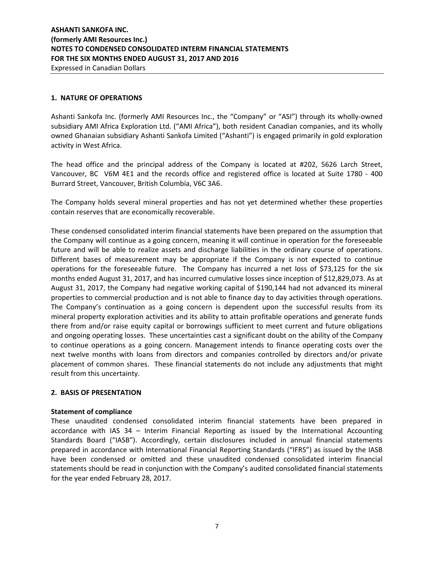### **1. NATURE OF OPERATIONS**

Ashanti Sankofa Inc. (formerly AMI Resources Inc., the "Company" or "ASI") through its wholly‐owned subsidiary AMI Africa Exploration Ltd. ("AMI Africa"), both resident Canadian companies, and its wholly owned Ghanaian subsidiary Ashanti Sankofa Limited ("Ashanti") is engaged primarily in gold exploration activity in West Africa.

The head office and the principal address of the Company is located at #202, 5626 Larch Street, Vancouver, BC V6M 4E1 and the records office and registered office is located at Suite 1780 ‐ 400 Burrard Street, Vancouver, British Columbia, V6C 3A6.

The Company holds several mineral properties and has not yet determined whether these properties contain reserves that are economically recoverable.

These condensed consolidated interim financial statements have been prepared on the assumption that the Company will continue as a going concern, meaning it will continue in operation for the foreseeable future and will be able to realize assets and discharge liabilities in the ordinary course of operations. Different bases of measurement may be appropriate if the Company is not expected to continue operations for the foreseeable future. The Company has incurred a net loss of \$73,125 for the six months ended August 31, 2017, and has incurred cumulative losses since inception of \$12,829,073. As at August 31, 2017, the Company had negative working capital of \$190,144 had not advanced its mineral properties to commercial production and is not able to finance day to day activities through operations. The Company's continuation as a going concern is dependent upon the successful results from its mineral property exploration activities and its ability to attain profitable operations and generate funds there from and/or raise equity capital or borrowings sufficient to meet current and future obligations and ongoing operating losses. These uncertainties cast a significant doubt on the ability of the Company to continue operations as a going concern. Management intends to finance operating costs over the next twelve months with loans from directors and companies controlled by directors and/or private placement of common shares. These financial statements do not include any adjustments that might result from this uncertainty.

### **2. BASIS OF PRESENTATION**

### **Statement of compliance**

These unaudited condensed consolidated interim financial statements have been prepared in accordance with IAS 34 – Interim Financial Reporting as issued by the International Accounting Standards Board ("IASB"). Accordingly, certain disclosures included in annual financial statements prepared in accordance with International Financial Reporting Standards ("IFRS") as issued by the IASB have been condensed or omitted and these unaudited condensed consolidated interim financial statements should be read in conjunction with the Company's audited consolidated financial statements for the year ended February 28, 2017.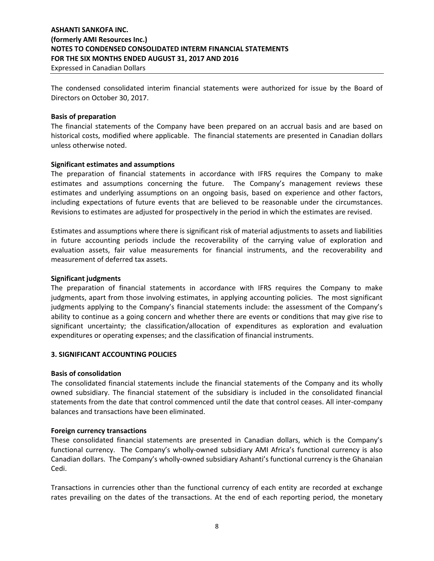Expressed in Canadian Dollars

The condensed consolidated interim financial statements were authorized for issue by the Board of Directors on October 30, 2017.

#### **Basis of preparation**

The financial statements of the Company have been prepared on an accrual basis and are based on historical costs, modified where applicable. The financial statements are presented in Canadian dollars unless otherwise noted.

#### **Significant estimates and assumptions**

The preparation of financial statements in accordance with IFRS requires the Company to make estimates and assumptions concerning the future. The Company's management reviews these estimates and underlying assumptions on an ongoing basis, based on experience and other factors, including expectations of future events that are believed to be reasonable under the circumstances. Revisions to estimates are adjusted for prospectively in the period in which the estimates are revised.

Estimates and assumptions where there is significant risk of material adjustments to assets and liabilities in future accounting periods include the recoverability of the carrying value of exploration and evaluation assets, fair value measurements for financial instruments, and the recoverability and measurement of deferred tax assets.

#### **Significant judgments**

The preparation of financial statements in accordance with IFRS requires the Company to make judgments, apart from those involving estimates, in applying accounting policies. The most significant judgments applying to the Company's financial statements include: the assessment of the Company's ability to continue as a going concern and whether there are events or conditions that may give rise to significant uncertainty; the classification/allocation of expenditures as exploration and evaluation expenditures or operating expenses; and the classification of financial instruments.

### **3. SIGNIFICANT ACCOUNTING POLICIES**

#### **Basis of consolidation**

The consolidated financial statements include the financial statements of the Company and its wholly owned subsidiary. The financial statement of the subsidiary is included in the consolidated financial statements from the date that control commenced until the date that control ceases. All inter‐company balances and transactions have been eliminated.

### **Foreign currency transactions**

These consolidated financial statements are presented in Canadian dollars, which is the Company's functional currency. The Company's wholly-owned subsidiary AMI Africa's functional currency is also Canadian dollars. The Company's wholly‐owned subsidiary Ashanti's functional currency is the Ghanaian Cedi.

Transactions in currencies other than the functional currency of each entity are recorded at exchange rates prevailing on the dates of the transactions. At the end of each reporting period, the monetary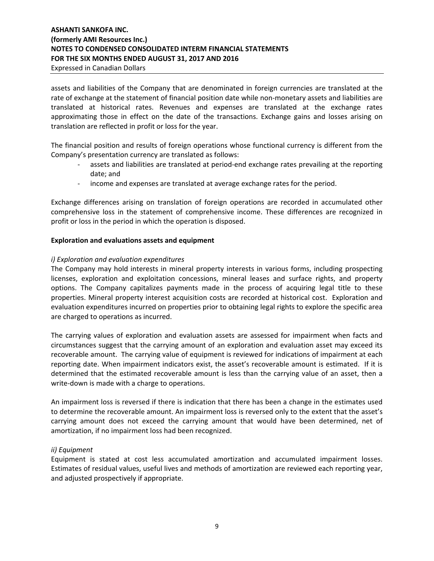### Expressed in Canadian Dollars

assets and liabilities of the Company that are denominated in foreign currencies are translated at the rate of exchange at the statement of financial position date while non-monetary assets and liabilities are translated at historical rates. Revenues and expenses are translated at the exchange rates approximating those in effect on the date of the transactions. Exchange gains and losses arising on translation are reflected in profit or loss for the year.

The financial position and results of foreign operations whose functional currency is different from the Company's presentation currency are translated as follows:

- ‐ assets and liabilities are translated at period‐end exchange rates prevailing at the reporting date; and
- ‐ income and expenses are translated at average exchange rates for the period.

Exchange differences arising on translation of foreign operations are recorded in accumulated other comprehensive loss in the statement of comprehensive income. These differences are recognized in profit or loss in the period in which the operation is disposed.

### **Exploration and evaluations assets and equipment**

### *i) Exploration and evaluation expenditures*

The Company may hold interests in mineral property interests in various forms, including prospecting licenses, exploration and exploitation concessions, mineral leases and surface rights, and property options. The Company capitalizes payments made in the process of acquiring legal title to these properties. Mineral property interest acquisition costs are recorded at historical cost. Exploration and evaluation expenditures incurred on properties prior to obtaining legal rights to explore the specific area are charged to operations as incurred.

The carrying values of exploration and evaluation assets are assessed for impairment when facts and circumstances suggest that the carrying amount of an exploration and evaluation asset may exceed its recoverable amount. The carrying value of equipment is reviewed for indications of impairment at each reporting date. When impairment indicators exist, the asset's recoverable amount is estimated. If it is determined that the estimated recoverable amount is less than the carrying value of an asset, then a write-down is made with a charge to operations.

An impairment loss is reversed if there is indication that there has been a change in the estimates used to determine the recoverable amount. An impairment loss is reversed only to the extent that the asset's carrying amount does not exceed the carrying amount that would have been determined, net of amortization, if no impairment loss had been recognized.

### *ii) Equipment*

Equipment is stated at cost less accumulated amortization and accumulated impairment losses. Estimates of residual values, useful lives and methods of amortization are reviewed each reporting year, and adjusted prospectively if appropriate.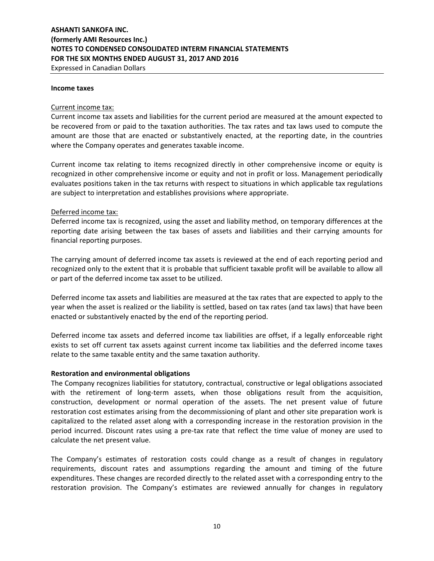Expressed in Canadian Dollars

#### **Income taxes**

#### Current income tax:

Current income tax assets and liabilities for the current period are measured at the amount expected to be recovered from or paid to the taxation authorities. The tax rates and tax laws used to compute the amount are those that are enacted or substantively enacted, at the reporting date, in the countries where the Company operates and generates taxable income.

Current income tax relating to items recognized directly in other comprehensive income or equity is recognized in other comprehensive income or equity and not in profit or loss. Management periodically evaluates positions taken in the tax returns with respect to situations in which applicable tax regulations are subject to interpretation and establishes provisions where appropriate.

### Deferred income tax:

Deferred income tax is recognized, using the asset and liability method, on temporary differences at the reporting date arising between the tax bases of assets and liabilities and their carrying amounts for financial reporting purposes.

The carrying amount of deferred income tax assets is reviewed at the end of each reporting period and recognized only to the extent that it is probable that sufficient taxable profit will be available to allow all or part of the deferred income tax asset to be utilized.

Deferred income tax assets and liabilities are measured at the tax rates that are expected to apply to the year when the asset is realized or the liability is settled, based on tax rates (and tax laws) that have been enacted or substantively enacted by the end of the reporting period.

Deferred income tax assets and deferred income tax liabilities are offset, if a legally enforceable right exists to set off current tax assets against current income tax liabilities and the deferred income taxes relate to the same taxable entity and the same taxation authority.

### **Restoration and environmental obligations**

The Company recognizes liabilities for statutory, contractual, constructive or legal obligations associated with the retirement of long-term assets, when those obligations result from the acquisition, construction, development or normal operation of the assets. The net present value of future restoration cost estimates arising from the decommissioning of plant and other site preparation work is capitalized to the related asset along with a corresponding increase in the restoration provision in the period incurred. Discount rates using a pre-tax rate that reflect the time value of money are used to calculate the net present value.

The Company's estimates of restoration costs could change as a result of changes in regulatory requirements, discount rates and assumptions regarding the amount and timing of the future expenditures. These changes are recorded directly to the related asset with a corresponding entry to the restoration provision. The Company's estimates are reviewed annually for changes in regulatory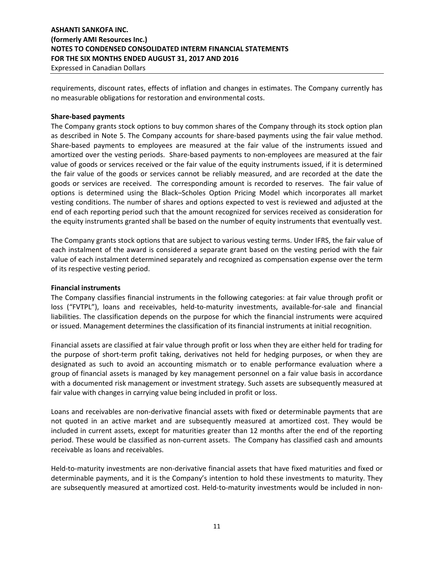Expressed in Canadian Dollars

requirements, discount rates, effects of inflation and changes in estimates. The Company currently has no measurable obligations for restoration and environmental costs.

### **Share‐based payments**

The Company grants stock options to buy common shares of the Company through its stock option plan as described in Note 5. The Company accounts for share-based payments using the fair value method. Share‐based payments to employees are measured at the fair value of the instruments issued and amortized over the vesting periods. Share-based payments to non-employees are measured at the fair value of goods or services received or the fair value of the equity instruments issued, if it is determined the fair value of the goods or services cannot be reliably measured, and are recorded at the date the goods or services are received. The corresponding amount is recorded to reserves. The fair value of options is determined using the Black–Scholes Option Pricing Model which incorporates all market vesting conditions. The number of shares and options expected to vest is reviewed and adjusted at the end of each reporting period such that the amount recognized for services received as consideration for the equity instruments granted shall be based on the number of equity instruments that eventually vest.

The Company grants stock options that are subject to various vesting terms. Under IFRS, the fair value of each instalment of the award is considered a separate grant based on the vesting period with the fair value of each instalment determined separately and recognized as compensation expense over the term of its respective vesting period.

### **Financial instruments**

The Company classifies financial instruments in the following categories: at fair value through profit or loss ("FVTPL"), loans and receivables, held-to-maturity investments, available-for-sale and financial liabilities. The classification depends on the purpose for which the financial instruments were acquired or issued. Management determines the classification of its financial instruments at initial recognition.

Financial assets are classified at fair value through profit or loss when they are either held for trading for the purpose of short-term profit taking, derivatives not held for hedging purposes, or when they are designated as such to avoid an accounting mismatch or to enable performance evaluation where a group of financial assets is managed by key management personnel on a fair value basis in accordance with a documented risk management or investment strategy. Such assets are subsequently measured at fair value with changes in carrying value being included in profit or loss.

Loans and receivables are non‐derivative financial assets with fixed or determinable payments that are not quoted in an active market and are subsequently measured at amortized cost. They would be included in current assets, except for maturities greater than 12 months after the end of the reporting period. These would be classified as non-current assets. The Company has classified cash and amounts receivable as loans and receivables.

Held-to-maturity investments are non-derivative financial assets that have fixed maturities and fixed or determinable payments, and it is the Company's intention to hold these investments to maturity. They are subsequently measured at amortized cost. Held-to-maturity investments would be included in non-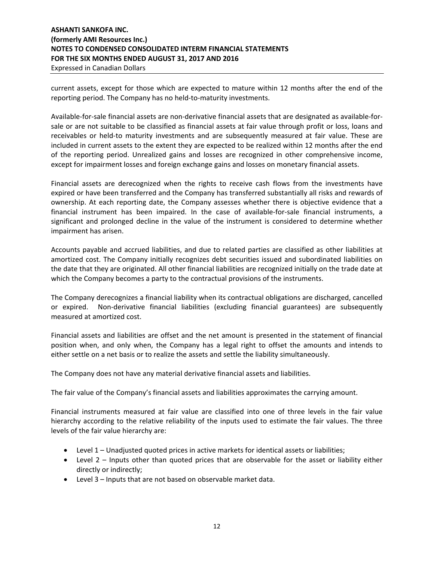### **ASHANTI SANKOFA INC. (formerly AMI Resources Inc.) NOTES TO CONDENSED CONSOLIDATED INTERM FINANCIAL STATEMENTS FOR THE SIX MONTHS ENDED AUGUST 31, 2017 AND 2016** Expressed in Canadian Dollars

# current assets, except for those which are expected to mature within 12 months after the end of the reporting period. The Company has no held-to-maturity investments.

Available‐for‐sale financial assets are non‐derivative financial assets that are designated as available‐for‐ sale or are not suitable to be classified as financial assets at fair value through profit or loss, loans and receivables or held‐to maturity investments and are subsequently measured at fair value. These are included in current assets to the extent they are expected to be realized within 12 months after the end of the reporting period. Unrealized gains and losses are recognized in other comprehensive income, except for impairment losses and foreign exchange gains and losses on monetary financial assets.

Financial assets are derecognized when the rights to receive cash flows from the investments have expired or have been transferred and the Company has transferred substantially all risks and rewards of ownership. At each reporting date, the Company assesses whether there is objective evidence that a financial instrument has been impaired. In the case of available-for-sale financial instruments, a significant and prolonged decline in the value of the instrument is considered to determine whether impairment has arisen.

Accounts payable and accrued liabilities, and due to related parties are classified as other liabilities at amortized cost. The Company initially recognizes debt securities issued and subordinated liabilities on the date that they are originated. All other financial liabilities are recognized initially on the trade date at which the Company becomes a party to the contractual provisions of the instruments.

The Company derecognizes a financial liability when its contractual obligations are discharged, cancelled or expired. Non‐derivative financial liabilities (excluding financial guarantees) are subsequently measured at amortized cost.

Financial assets and liabilities are offset and the net amount is presented in the statement of financial position when, and only when, the Company has a legal right to offset the amounts and intends to either settle on a net basis or to realize the assets and settle the liability simultaneously.

The Company does not have any material derivative financial assets and liabilities.

The fair value of the Company's financial assets and liabilities approximates the carrying amount.

Financial instruments measured at fair value are classified into one of three levels in the fair value hierarchy according to the relative reliability of the inputs used to estimate the fair values. The three levels of the fair value hierarchy are:

- Level 1 Unadjusted quoted prices in active markets for identical assets or liabilities;
- Level 2 Inputs other than quoted prices that are observable for the asset or liability either directly or indirectly;
- Level 3 Inputs that are not based on observable market data.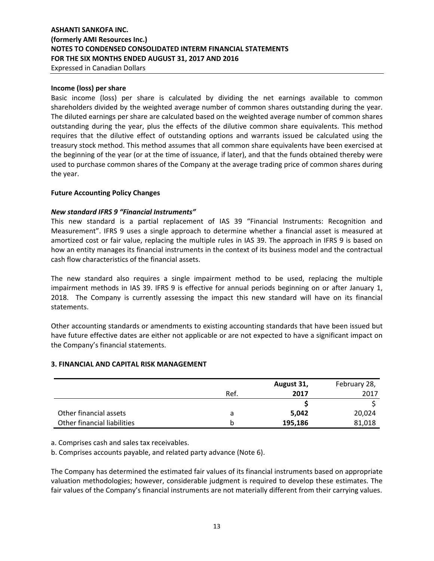Expressed in Canadian Dollars

### **Income (loss) per share**

Basic income (loss) per share is calculated by dividing the net earnings available to common shareholders divided by the weighted average number of common shares outstanding during the year. The diluted earnings per share are calculated based on the weighted average number of common shares outstanding during the year, plus the effects of the dilutive common share equivalents. This method requires that the dilutive effect of outstanding options and warrants issued be calculated using the treasury stock method. This method assumes that all common share equivalents have been exercised at the beginning of the year (or at the time of issuance, if later), and that the funds obtained thereby were used to purchase common shares of the Company at the average trading price of common shares during the year.

### **Future Accounting Policy Changes**

### *New standard IFRS 9 "Financial Instruments"*

This new standard is a partial replacement of IAS 39 "Financial Instruments: Recognition and Measurement". IFRS 9 uses a single approach to determine whether a financial asset is measured at amortized cost or fair value, replacing the multiple rules in IAS 39. The approach in IFRS 9 is based on how an entity manages its financial instruments in the context of its business model and the contractual cash flow characteristics of the financial assets.

The new standard also requires a single impairment method to be used, replacing the multiple impairment methods in IAS 39. IFRS 9 is effective for annual periods beginning on or after January 1, 2018. The Company is currently assessing the impact this new standard will have on its financial statements.

Other accounting standards or amendments to existing accounting standards that have been issued but have future effective dates are either not applicable or are not expected to have a significant impact on the Company's financial statements.

### **3. FINANCIAL AND CAPITAL RISK MANAGEMENT**

|                             |      | August 31, | February 28, |
|-----------------------------|------|------------|--------------|
|                             | Ref. | 2017       | 2017         |
|                             |      |            |              |
| Other financial assets      | a    | 5,042      | 20,024       |
| Other financial liabilities | b    | 195,186    | 81,018       |

a. Comprises cash and sales tax receivables.

b. Comprises accounts payable, and related party advance (Note 6).

The Company has determined the estimated fair values of its financial instruments based on appropriate valuation methodologies; however, considerable judgment is required to develop these estimates. The fair values of the Company's financial instruments are not materially different from their carrying values.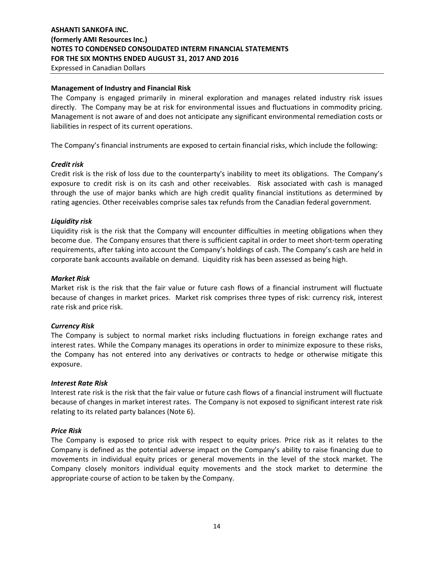### **Management of Industry and Financial Risk**

The Company is engaged primarily in mineral exploration and manages related industry risk issues directly. The Company may be at risk for environmental issues and fluctuations in commodity pricing. Management is not aware of and does not anticipate any significant environmental remediation costs or liabilities in respect of its current operations.

The Company's financial instruments are exposed to certain financial risks, which include the following:

### *Credit risk*

Credit risk is the risk of loss due to the counterparty's inability to meet its obligations. The Company's exposure to credit risk is on its cash and other receivables. Risk associated with cash is managed through the use of major banks which are high credit quality financial institutions as determined by rating agencies. Other receivables comprise sales tax refunds from the Canadian federal government.

### *Liquidity risk*

Liquidity risk is the risk that the Company will encounter difficulties in meeting obligations when they become due. The Company ensures that there is sufficient capital in order to meet short-term operating requirements, after taking into account the Company's holdings of cash. The Company's cash are held in corporate bank accounts available on demand. Liquidity risk has been assessed as being high.

#### *Market Risk*

Market risk is the risk that the fair value or future cash flows of a financial instrument will fluctuate because of changes in market prices. Market risk comprises three types of risk: currency risk, interest rate risk and price risk.

### *Currency Risk*

The Company is subject to normal market risks including fluctuations in foreign exchange rates and interest rates. While the Company manages its operations in order to minimize exposure to these risks, the Company has not entered into any derivatives or contracts to hedge or otherwise mitigate this exposure.

### *Interest Rate Risk*

Interest rate risk is the risk that the fair value or future cash flows of a financial instrument will fluctuate because of changes in market interest rates. The Company is not exposed to significant interest rate risk relating to its related party balances (Note 6).

### *Price Risk*

The Company is exposed to price risk with respect to equity prices. Price risk as it relates to the Company is defined as the potential adverse impact on the Company's ability to raise financing due to movements in individual equity prices or general movements in the level of the stock market. The Company closely monitors individual equity movements and the stock market to determine the appropriate course of action to be taken by the Company.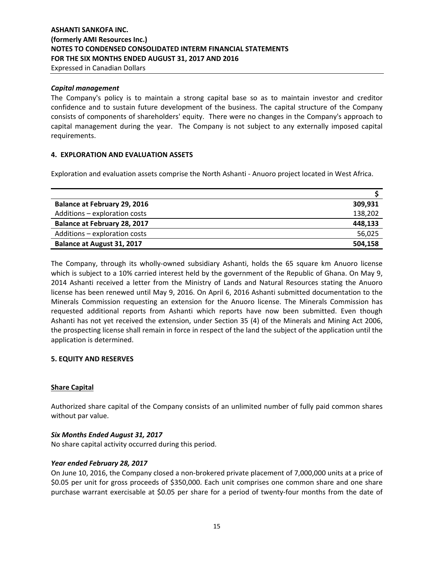Expressed in Canadian Dollars

### *Capital management*

The Company's policy is to maintain a strong capital base so as to maintain investor and creditor confidence and to sustain future development of the business. The capital structure of the Company consists of components of shareholders' equity. There were no changes in the Company's approach to capital management during the year. The Company is not subject to any externally imposed capital requirements.

### **4. EXPLORATION AND EVALUATION ASSETS**

Exploration and evaluation assets comprise the North Ashanti ‐ Anuoro project located in West Africa.

| <b>Balance at February 29, 2016</b> | 309.931 |
|-------------------------------------|---------|
| Additions - exploration costs       | 138,202 |
| <b>Balance at February 28, 2017</b> | 448,133 |
| Additions - exploration costs       | 56,025  |
| Balance at August 31, 2017          | 504,158 |

The Company, through its wholly-owned subsidiary Ashanti, holds the 65 square km Anuoro license which is subject to a 10% carried interest held by the government of the Republic of Ghana. On May 9, 2014 Ashanti received a letter from the Ministry of Lands and Natural Resources stating the Anuoro license has been renewed until May 9, 2016. On April 6, 2016 Ashanti submitted documentation to the Minerals Commission requesting an extension for the Anuoro license. The Minerals Commission has requested additional reports from Ashanti which reports have now been submitted. Even though Ashanti has not yet received the extension, under Section 35 (4) of the Minerals and Mining Act 2006, the prospecting license shall remain in force in respect of the land the subject of the application until the application is determined.

### **5. EQUITY AND RESERVES**

### **Share Capital**

Authorized share capital of the Company consists of an unlimited number of fully paid common shares without par value.

### *Six Months Ended August 31, 2017*

No share capital activity occurred during this period.

### *Year ended February 28, 2017*

On June 10, 2016, the Company closed a non‐brokered private placement of 7,000,000 units at a price of \$0.05 per unit for gross proceeds of \$350,000. Each unit comprises one common share and one share purchase warrant exercisable at \$0.05 per share for a period of twenty‐four months from the date of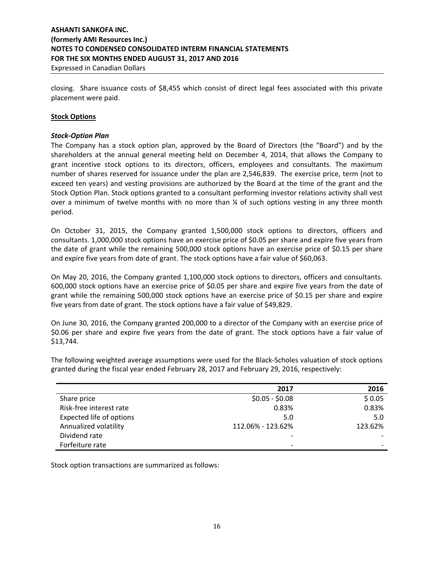Expressed in Canadian Dollars

closing. Share issuance costs of \$8,455 which consist of direct legal fees associated with this private placement were paid.

### **Stock Options**

### *Stock‐Option Plan*

The Company has a stock option plan, approved by the Board of Directors (the "Board") and by the shareholders at the annual general meeting held on December 4, 2014, that allows the Company to grant incentive stock options to its directors, officers, employees and consultants. The maximum number of shares reserved for issuance under the plan are 2,546,839. The exercise price, term (not to exceed ten years) and vesting provisions are authorized by the Board at the time of the grant and the Stock Option Plan. Stock options granted to a consultant performing investor relations activity shall vest over a minimum of twelve months with no more than  $\frac{1}{4}$  of such options vesting in any three month period.

On October 31, 2015, the Company granted 1,500,000 stock options to directors, officers and consultants. 1,000,000 stock options have an exercise price of \$0.05 per share and expire five years from the date of grant while the remaining 500,000 stock options have an exercise price of \$0.15 per share and expire five years from date of grant. The stock options have a fair value of \$60,063.

On May 20, 2016, the Company granted 1,100,000 stock options to directors, officers and consultants. 600,000 stock options have an exercise price of \$0.05 per share and expire five years from the date of grant while the remaining 500,000 stock options have an exercise price of \$0.15 per share and expire five years from date of grant. The stock options have a fair value of \$49,829.

On June 30, 2016, the Company granted 200,000 to a director of the Company with an exercise price of \$0.06 per share and expire five years from the date of grant. The stock options have a fair value of \$13,744.

The following weighted average assumptions were used for the Black‐Scholes valuation of stock options granted during the fiscal year ended February 28, 2017 and February 29, 2016, respectively:

|                          | 2017                     | 2016    |
|--------------------------|--------------------------|---------|
| Share price              | $$0.05 - $0.08$$         | \$0.05  |
| Risk-free interest rate  | 0.83%                    | 0.83%   |
| Expected life of options | 5.0                      | 5.0     |
| Annualized volatility    | 112.06% - 123.62%        | 123.62% |
| Dividend rate            |                          |         |
| Forfeiture rate          | $\overline{\phantom{0}}$ |         |

Stock option transactions are summarized as follows: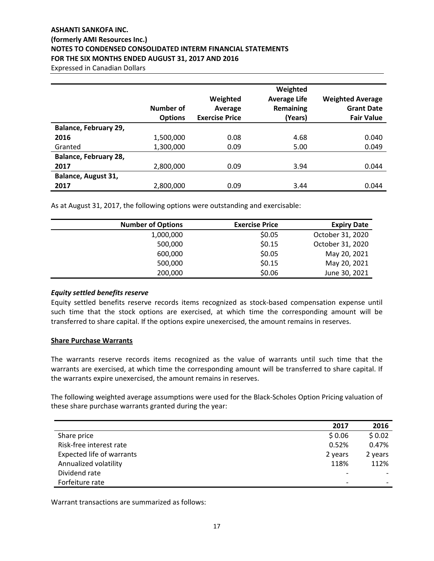Expressed in Canadian Dollars

|                       | Number of<br><b>Options</b> | Weighted<br>Average<br><b>Exercise Price</b> | Weighted<br><b>Average Life</b><br>Remaining<br>(Years) | <b>Weighted Average</b><br><b>Grant Date</b><br><b>Fair Value</b> |
|-----------------------|-----------------------------|----------------------------------------------|---------------------------------------------------------|-------------------------------------------------------------------|
| Balance, February 29, |                             |                                              |                                                         |                                                                   |
| 2016                  | 1,500,000                   | 0.08                                         | 4.68                                                    | 0.040                                                             |
| Granted               | 1,300,000                   | 0.09                                         | 5.00                                                    | 0.049                                                             |
| Balance, February 28, |                             |                                              |                                                         |                                                                   |
| 2017                  | 2,800,000                   | 0.09                                         | 3.94                                                    | 0.044                                                             |
| Balance, August 31,   |                             |                                              |                                                         |                                                                   |
| 2017                  | 2,800,000                   | 0.09                                         | 3.44                                                    | 0.044                                                             |

As at August 31, 2017, the following options were outstanding and exercisable:

| <b>Number of Options</b> | <b>Exercise Price</b> | <b>Expiry Date</b> |
|--------------------------|-----------------------|--------------------|
| 1,000,000                | \$0.05                | October 31, 2020   |
| 500,000                  | \$0.15                | October 31, 2020   |
| 600,000                  | \$0.05                | May 20, 2021       |
| 500,000                  | \$0.15                | May 20, 2021       |
| 200,000                  | \$0.06                | June 30, 2021      |

### *Equity settled benefits reserve*

Equity settled benefits reserve records items recognized as stock‐based compensation expense until such time that the stock options are exercised, at which time the corresponding amount will be transferred to share capital. If the options expire unexercised, the amount remains in reserves.

### **Share Purchase Warrants**

The warrants reserve records items recognized as the value of warrants until such time that the warrants are exercised, at which time the corresponding amount will be transferred to share capital. If the warrants expire unexercised, the amount remains in reserves.

The following weighted average assumptions were used for the Black‐Scholes Option Pricing valuation of these share purchase warrants granted during the year:

|                           | 2017    | 2016    |
|---------------------------|---------|---------|
| Share price               | \$0.06  | \$0.02  |
| Risk-free interest rate   | 0.52%   | 0.47%   |
| Expected life of warrants | 2 years | 2 years |
| Annualized volatility     | 118%    | 112%    |
| Dividend rate             |         |         |
| Forfeiture rate           |         |         |

Warrant transactions are summarized as follows: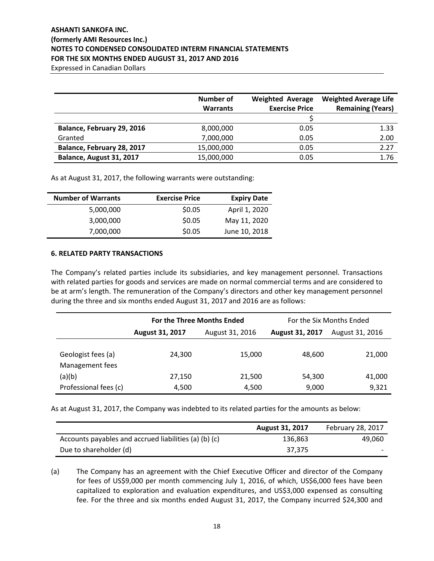Expressed in Canadian Dollars

|                            | Number of<br><b>Warrants</b> | <b>Weighted Average</b><br><b>Exercise Price</b> | <b>Weighted Average Life</b><br><b>Remaining (Years)</b> |
|----------------------------|------------------------------|--------------------------------------------------|----------------------------------------------------------|
|                            |                              |                                                  |                                                          |
| Balance, February 29, 2016 | 8,000,000                    | 0.05                                             | 1.33                                                     |
| Granted                    | 7,000,000                    | 0.05                                             | 2.00                                                     |
| Balance, February 28, 2017 | 15,000,000                   | 0.05                                             | 2.27                                                     |
| Balance, August 31, 2017   | 15,000,000                   | 0.05                                             | 1.76                                                     |

As at August 31, 2017, the following warrants were outstanding:

| <b>Number of Warrants</b> | <b>Exercise Price</b> | <b>Expiry Date</b> |
|---------------------------|-----------------------|--------------------|
| 5,000,000                 | \$0.05                | April 1, 2020      |
| 3,000,000                 | \$0.05                | May 11, 2020       |
| 7,000,000                 | \$0.05                | June 10, 2018      |

### **6. RELATED PARTY TRANSACTIONS**

The Company's related parties include its subsidiaries, and key management personnel. Transactions with related parties for goods and services are made on normal commercial terms and are considered to be at arm's length. The remuneration of the Company's directors and other key management personnel during the three and six months ended August 31, 2017 and 2016 are as follows:

|                                       | <b>For the Three Months Ended</b> |                 | For the Six Months Ended |                 |
|---------------------------------------|-----------------------------------|-----------------|--------------------------|-----------------|
|                                       | August 31, 2017                   | August 31, 2016 | August 31, 2017          | August 31, 2016 |
| Geologist fees (a)<br>Management fees | 24,300                            | 15,000          | 48.600                   | 21,000          |
| (a)(b)                                | 27,150                            | 21,500          | 54,300                   | 41,000          |
| Professional fees (c)                 | 4,500                             | 4,500           | 9,000                    | 9,321           |

As at August 31, 2017, the Company was indebted to its related parties for the amounts as below:

|                                                       | <b>August 31, 2017</b> | <b>February 28, 2017</b> |
|-------------------------------------------------------|------------------------|--------------------------|
| Accounts payables and accrued liabilities (a) (b) (c) | 136,863                | 49,060                   |
| Due to shareholder (d)                                | 37,375                 |                          |

(a) The Company has an agreement with the Chief Executive Officer and director of the Company for fees of US\$9,000 per month commencing July 1, 2016, of which, US\$6,000 fees have been capitalized to exploration and evaluation expenditures, and US\$3,000 expensed as consulting fee. For the three and six months ended August 31, 2017, the Company incurred \$24,300 and